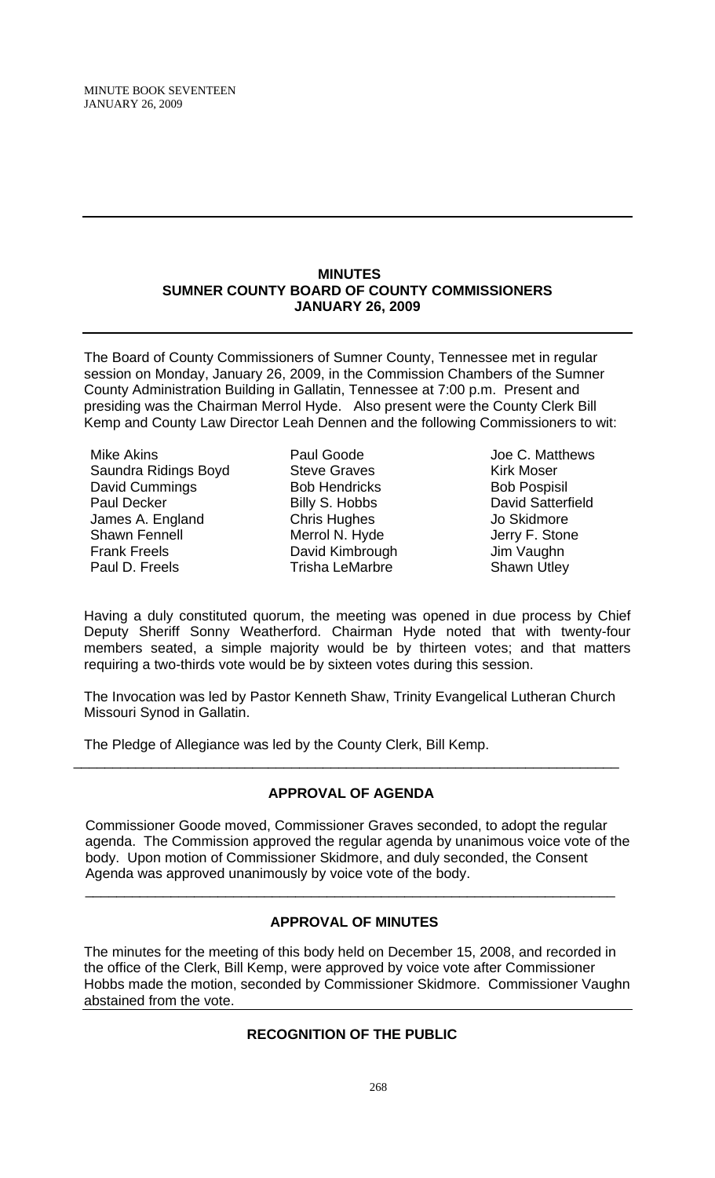#### **MINUTES SUMNER COUNTY BOARD OF COUNTY COMMISSIONERS JANUARY 26, 2009**

The Board of County Commissioners of Sumner County, Tennessee met in regular session on Monday, January 26, 2009, in the Commission Chambers of the Sumner County Administration Building in Gallatin, Tennessee at 7:00 p.m. Present and presiding was the Chairman Merrol Hyde. Also present were the County Clerk Bill Kemp and County Law Director Leah Dennen and the following Commissioners to wit:

Mike Akins Saundra Ridings Boyd David Cummings Paul Decker James A. England Shawn Fennell Frank Freels Paul D. Freels

Paul Goode Steve Graves Bob Hendricks Billy S. Hobbs Chris Hughes Merrol N. Hyde David Kimbrough Trisha LeMarbre

Joe C. Matthews Kirk Moser Bob Pospisil David Satterfield Jo Skidmore Jerry F. Stone Jim Vaughn Shawn Utley

Having a duly constituted quorum, the meeting was opened in due process by Chief Deputy Sheriff Sonny Weatherford. Chairman Hyde noted that with twenty-four members seated, a simple majority would be by thirteen votes; and that matters requiring a two-thirds vote would be by sixteen votes during this session.

The Invocation was led by Pastor Kenneth Shaw, Trinity Evangelical Lutheran Church Missouri Synod in Gallatin.

The Pledge of Allegiance was led by the County Clerk, Bill Kemp.

# **APPROVAL OF AGENDA**

\_\_\_\_\_\_\_\_\_\_\_\_\_\_\_\_\_\_\_\_\_\_\_\_\_\_\_\_\_\_\_\_\_\_\_\_\_\_\_\_\_\_\_\_\_\_\_\_\_\_\_\_\_\_\_\_\_\_\_\_\_\_\_\_\_\_\_\_\_\_

 Commissioner Goode moved, Commissioner Graves seconded, to adopt the regular agenda. The Commission approved the regular agenda by unanimous voice vote of the body. Upon motion of Commissioner Skidmore, and duly seconded, the Consent Agenda was approved unanimously by voice vote of the body.

# **APPROVAL OF MINUTES**

 $\overline{\phantom{a}}$  , and the contribution of the contribution of the contribution of the contribution of the contribution of  $\overline{\phantom{a}}$ 

The minutes for the meeting of this body held on December 15, 2008, and recorded in the office of the Clerk, Bill Kemp, were approved by voice vote after Commissioner Hobbs made the motion, seconded by Commissioner Skidmore. Commissioner Vaughn abstained from the vote.

# **RECOGNITION OF THE PUBLIC**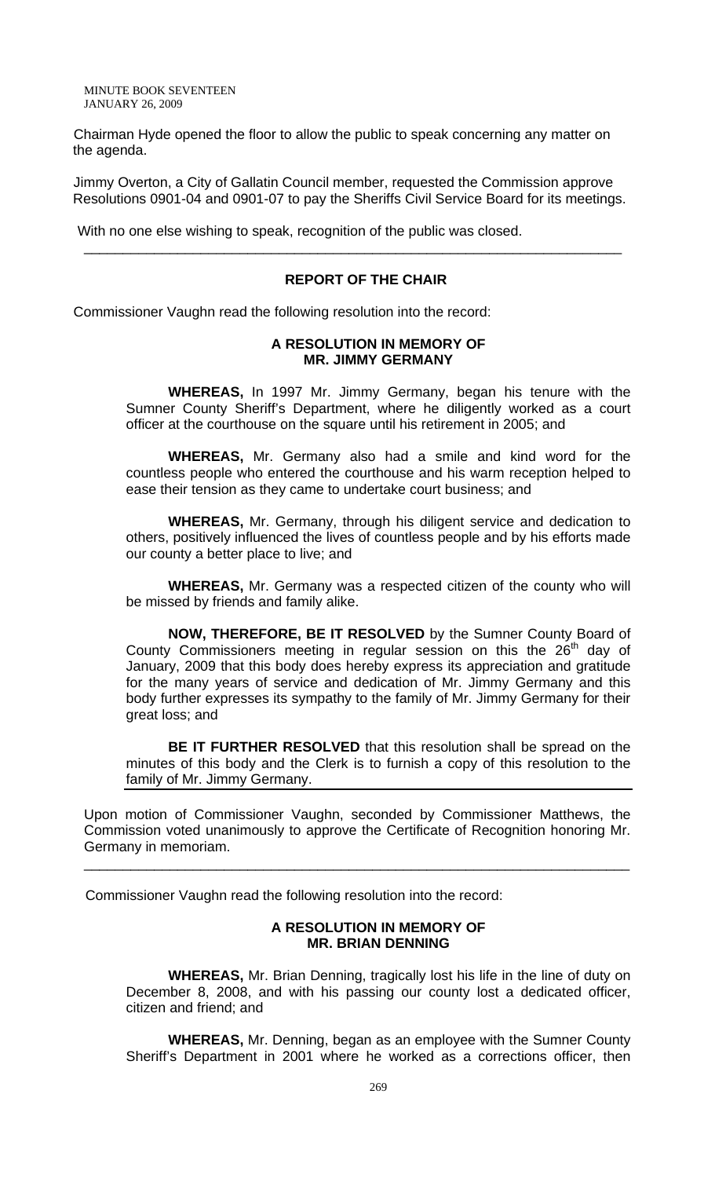Chairman Hyde opened the floor to allow the public to speak concerning any matter on the agenda.

Jimmy Overton, a City of Gallatin Council member, requested the Commission approve Resolutions 0901-04 and 0901-07 to pay the Sheriffs Civil Service Board for its meetings.

\_\_\_\_\_\_\_\_\_\_\_\_\_\_\_\_\_\_\_\_\_\_\_\_\_\_\_\_\_\_\_\_\_\_\_\_\_\_\_\_\_\_\_\_\_\_\_\_\_\_\_\_\_\_\_\_\_\_\_\_\_\_\_\_\_\_\_\_\_

With no one else wishing to speak, recognition of the public was closed.

#### **REPORT OF THE CHAIR**

Commissioner Vaughn read the following resolution into the record:

#### **A RESOLUTION IN MEMORY OF MR. JIMMY GERMANY**

 **WHEREAS,** In 1997 Mr. Jimmy Germany, began his tenure with the Sumner County Sheriff's Department, where he diligently worked as a court officer at the courthouse on the square until his retirement in 2005; and

**WHEREAS,** Mr. Germany also had a smile and kind word for the countless people who entered the courthouse and his warm reception helped to ease their tension as they came to undertake court business; and

**WHEREAS,** Mr. Germany, through his diligent service and dedication to others, positively influenced the lives of countless people and by his efforts made our county a better place to live; and

**WHEREAS,** Mr. Germany was a respected citizen of the county who will be missed by friends and family alike.

**NOW, THEREFORE, BE IT RESOLVED** by the Sumner County Board of County Commissioners meeting in regular session on this the  $26<sup>th</sup>$  day of January, 2009 that this body does hereby express its appreciation and gratitude for the many years of service and dedication of Mr. Jimmy Germany and this body further expresses its sympathy to the family of Mr. Jimmy Germany for their great loss; and

**BE IT FURTHER RESOLVED** that this resolution shall be spread on the minutes of this body and the Clerk is to furnish a copy of this resolution to the family of Mr. Jimmy Germany.

Upon motion of Commissioner Vaughn, seconded by Commissioner Matthews, the Commission voted unanimously to approve the Certificate of Recognition honoring Mr. Germany in memoriam.

\_\_\_\_\_\_\_\_\_\_\_\_\_\_\_\_\_\_\_\_\_\_\_\_\_\_\_\_\_\_\_\_\_\_\_\_\_\_\_\_\_\_\_\_\_\_\_\_\_\_\_\_\_\_\_\_\_\_\_\_\_\_\_\_\_\_\_\_\_\_

Commissioner Vaughn read the following resolution into the record:

### **A RESOLUTION IN MEMORY OF MR. BRIAN DENNING**

 **WHEREAS,** Mr. Brian Denning, tragically lost his life in the line of duty on December 8, 2008, and with his passing our county lost a dedicated officer, citizen and friend; and

**WHEREAS,** Mr. Denning, began as an employee with the Sumner County Sheriff's Department in 2001 where he worked as a corrections officer, then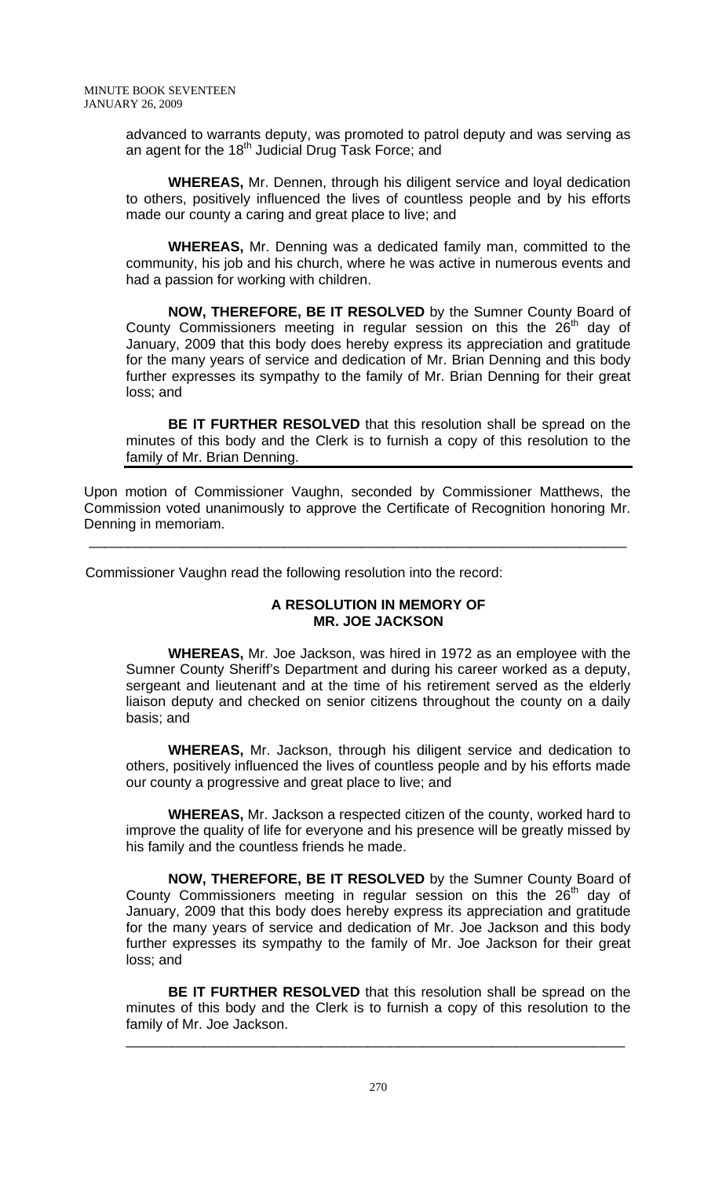advanced to warrants deputy, was promoted to patrol deputy and was serving as an agent for the 18<sup>th</sup> Judicial Drug Task Force; and

**WHEREAS,** Mr. Dennen, through his diligent service and loyal dedication to others, positively influenced the lives of countless people and by his efforts made our county a caring and great place to live; and

**WHEREAS,** Mr. Denning was a dedicated family man, committed to the community, his job and his church, where he was active in numerous events and had a passion for working with children.

**NOW, THEREFORE, BE IT RESOLVED** by the Sumner County Board of County Commissioners meeting in regular session on this the  $26<sup>th</sup>$  day of January, 2009 that this body does hereby express its appreciation and gratitude for the many years of service and dedication of Mr. Brian Denning and this body further expresses its sympathy to the family of Mr. Brian Denning for their great loss; and

**BE IT FURTHER RESOLVED** that this resolution shall be spread on the minutes of this body and the Clerk is to furnish a copy of this resolution to the family of Mr. Brian Denning.

Upon motion of Commissioner Vaughn, seconded by Commissioner Matthews, the Commission voted unanimously to approve the Certificate of Recognition honoring Mr. Denning in memoriam.

 $\overline{\phantom{a}}$  , and the contribution of the contribution of the contribution of the contribution of the contribution of the contribution of the contribution of the contribution of the contribution of the contribution of the

Commissioner Vaughn read the following resolution into the record:

# **A RESOLUTION IN MEMORY OF MR. JOE JACKSON**

 **WHEREAS,** Mr. Joe Jackson, was hired in 1972 as an employee with the Sumner County Sheriff's Department and during his career worked as a deputy, sergeant and lieutenant and at the time of his retirement served as the elderly liaison deputy and checked on senior citizens throughout the county on a daily basis; and

**WHEREAS,** Mr. Jackson, through his diligent service and dedication to others, positively influenced the lives of countless people and by his efforts made our county a progressive and great place to live; and

**WHEREAS,** Mr. Jackson a respected citizen of the county, worked hard to improve the quality of life for everyone and his presence will be greatly missed by his family and the countless friends he made.

**NOW, THEREFORE, BE IT RESOLVED** by the Sumner County Board of County Commissioners meeting in regular session on this the  $26<sup>th</sup>$  day of January, 2009 that this body does hereby express its appreciation and gratitude for the many years of service and dedication of Mr. Joe Jackson and this body further expresses its sympathy to the family of Mr. Joe Jackson for their great loss; and

**BE IT FURTHER RESOLVED** that this resolution shall be spread on the minutes of this body and the Clerk is to furnish a copy of this resolution to the family of Mr. Joe Jackson.

\_\_\_\_\_\_\_\_\_\_\_\_\_\_\_\_\_\_\_\_\_\_\_\_\_\_\_\_\_\_\_\_\_\_\_\_\_\_\_\_\_\_\_\_\_\_\_\_\_\_\_\_\_\_\_\_\_\_\_\_\_\_\_\_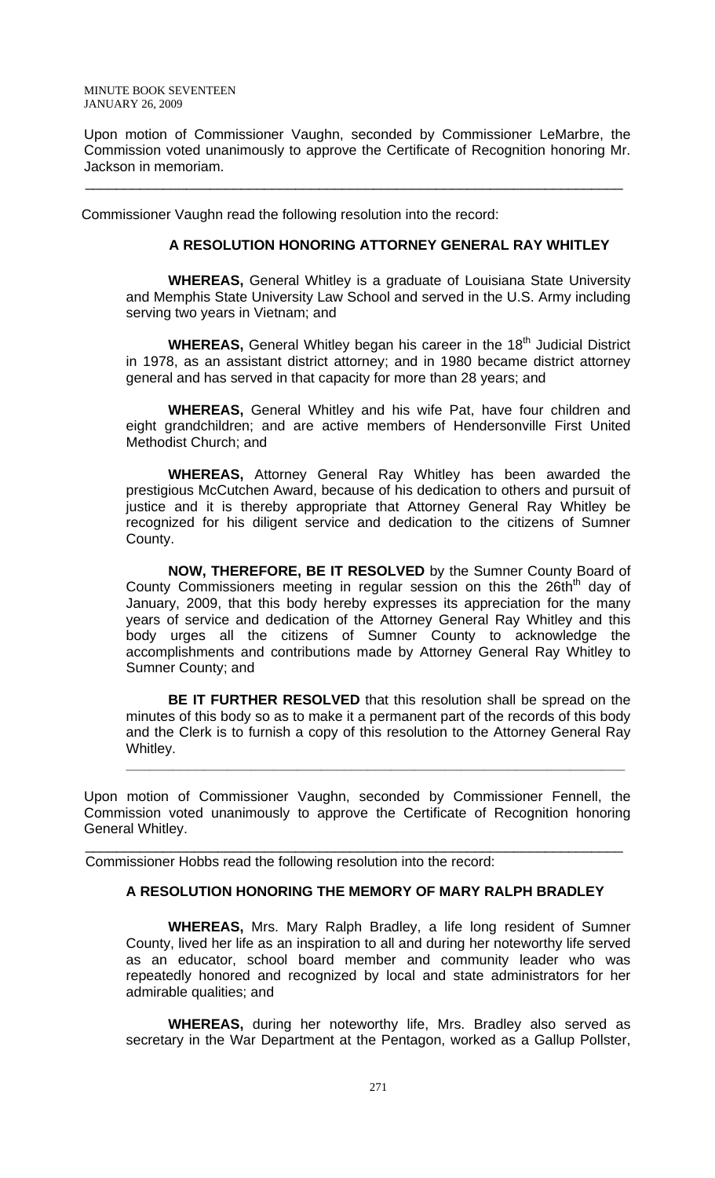Upon motion of Commissioner Vaughn, seconded by Commissioner LeMarbre, the Commission voted unanimously to approve the Certificate of Recognition honoring Mr. Jackson in memoriam.

 $\frac{1}{2}$  , the contribution of the contribution of the contribution of the contribution of the contribution of the contribution of the contribution of the contribution of the contribution of the contribution of the contr

Commissioner Vaughn read the following resolution into the record:

### **A RESOLUTION HONORING ATTORNEY GENERAL RAY WHITLEY**

**WHEREAS,** General Whitley is a graduate of Louisiana State University and Memphis State University Law School and served in the U.S. Army including serving two years in Vietnam; and

**WHEREAS, General Whitley began his career in the 18<sup>th</sup> Judicial District** in 1978, as an assistant district attorney; and in 1980 became district attorney general and has served in that capacity for more than 28 years; and

**WHEREAS,** General Whitley and his wife Pat, have four children and eight grandchildren; and are active members of Hendersonville First United Methodist Church; and

**WHEREAS,** Attorney General Ray Whitley has been awarded the prestigious McCutchen Award, because of his dedication to others and pursuit of justice and it is thereby appropriate that Attorney General Ray Whitley be recognized for his diligent service and dedication to the citizens of Sumner County.

**NOW, THEREFORE, BE IT RESOLVED** by the Sumner County Board of County Commissioners meeting in regular session on this the 26th<sup>th</sup> day of January, 2009, that this body hereby expresses its appreciation for the many years of service and dedication of the Attorney General Ray Whitley and this body urges all the citizens of Sumner County to acknowledge the accomplishments and contributions made by Attorney General Ray Whitley to Sumner County; and

**BE IT FURTHER RESOLVED** that this resolution shall be spread on the minutes of this body so as to make it a permanent part of the records of this body and the Clerk is to furnish a copy of this resolution to the Attorney General Ray Whitley.

**\_\_\_\_\_\_\_\_\_\_\_\_\_\_\_\_\_\_\_\_\_\_\_\_\_\_\_\_\_\_\_\_\_\_\_\_\_\_\_\_\_\_\_\_\_\_\_\_\_\_\_\_\_\_\_\_\_\_\_\_\_\_\_\_**

Upon motion of Commissioner Vaughn, seconded by Commissioner Fennell, the Commission voted unanimously to approve the Certificate of Recognition honoring General Whitley.

 $\overline{\phantom{a}}$  , and the contribution of the contribution of the contribution of the contribution of the contribution of the contribution of the contribution of the contribution of the contribution of the contribution of the

Commissioner Hobbs read the following resolution into the record:

# **A RESOLUTION HONORING THE MEMORY OF MARY RALPH BRADLEY**

 **WHEREAS,** Mrs. Mary Ralph Bradley, a life long resident of Sumner County, lived her life as an inspiration to all and during her noteworthy life served as an educator, school board member and community leader who was repeatedly honored and recognized by local and state administrators for her admirable qualities; and

**WHEREAS,** during her noteworthy life, Mrs. Bradley also served as secretary in the War Department at the Pentagon, worked as a Gallup Pollster,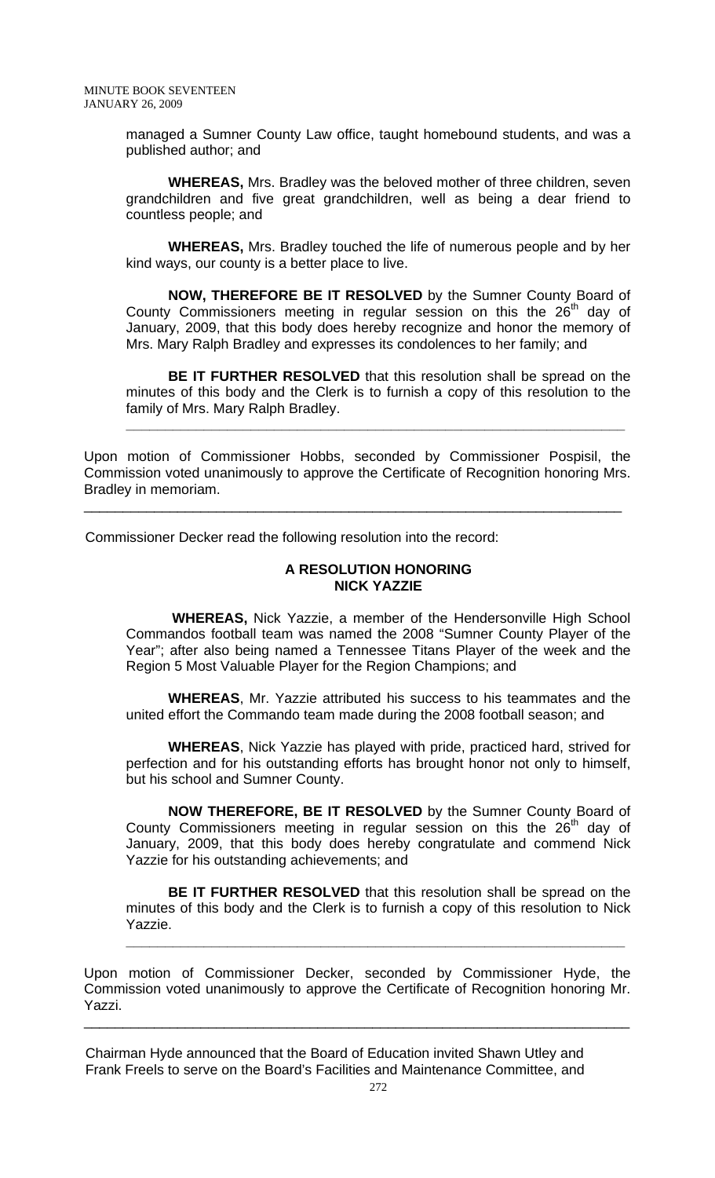managed a Sumner County Law office, taught homebound students, and was a published author; and

**WHEREAS,** Mrs. Bradley was the beloved mother of three children, seven grandchildren and five great grandchildren, well as being a dear friend to countless people; and

**WHEREAS,** Mrs. Bradley touched the life of numerous people and by her kind ways, our county is a better place to live.

**NOW, THEREFORE BE IT RESOLVED** by the Sumner County Board of County Commissioners meeting in regular session on this the  $26<sup>th</sup>$  day of January, 2009, that this body does hereby recognize and honor the memory of Mrs. Mary Ralph Bradley and expresses its condolences to her family; and

**BE IT FURTHER RESOLVED** that this resolution shall be spread on the minutes of this body and the Clerk is to furnish a copy of this resolution to the family of Mrs. Mary Ralph Bradley.

**\_\_\_\_\_\_\_\_\_\_\_\_\_\_\_\_\_\_\_\_\_\_\_\_\_\_\_\_\_\_\_\_\_\_\_\_\_\_\_\_\_\_\_\_\_\_\_\_\_\_\_\_\_\_\_\_\_\_\_\_\_\_\_\_**

Upon motion of Commissioner Hobbs, seconded by Commissioner Pospisil, the Commission voted unanimously to approve the Certificate of Recognition honoring Mrs. Bradley in memoriam.

\_\_\_\_\_\_\_\_\_\_\_\_\_\_\_\_\_\_\_\_\_\_\_\_\_\_\_\_\_\_\_\_\_\_\_\_\_\_\_\_\_\_\_\_\_\_\_\_\_\_\_\_\_\_\_\_\_\_\_\_\_\_\_\_\_\_\_\_\_

Commissioner Decker read the following resolution into the record:

# **A RESOLUTION HONORING NICK YAZZIE**

 **WHEREAS,** Nick Yazzie, a member of the Hendersonville High School Commandos football team was named the 2008 "Sumner County Player of the Year"; after also being named a Tennessee Titans Player of the week and the Region 5 Most Valuable Player for the Region Champions; and

**WHEREAS**, Mr. Yazzie attributed his success to his teammates and the united effort the Commando team made during the 2008 football season; and

**WHEREAS**, Nick Yazzie has played with pride, practiced hard, strived for perfection and for his outstanding efforts has brought honor not only to himself, but his school and Sumner County.

**NOW THEREFORE, BE IT RESOLVED** by the Sumner County Board of County Commissioners meeting in regular session on this the  $26<sup>th</sup>$  day of January, 2009, that this body does hereby congratulate and commend Nick Yazzie for his outstanding achievements; and

**BE IT FURTHER RESOLVED** that this resolution shall be spread on the minutes of this body and the Clerk is to furnish a copy of this resolution to Nick Yazzie.

**\_\_\_\_\_\_\_\_\_\_\_\_\_\_\_\_\_\_\_\_\_\_\_\_\_\_\_\_\_\_\_\_\_\_\_\_\_\_\_\_\_\_\_\_\_\_\_\_\_\_\_\_\_\_\_\_\_\_\_\_\_\_\_\_**

Upon motion of Commissioner Decker, seconded by Commissioner Hyde, the Commission voted unanimously to approve the Certificate of Recognition honoring Mr. Yazzi.

\_\_\_\_\_\_\_\_\_\_\_\_\_\_\_\_\_\_\_\_\_\_\_\_\_\_\_\_\_\_\_\_\_\_\_\_\_\_\_\_\_\_\_\_\_\_\_\_\_\_\_\_\_\_\_\_\_\_\_\_\_\_\_\_\_\_\_\_\_\_

 Chairman Hyde announced that the Board of Education invited Shawn Utley and Frank Freels to serve on the Board's Facilities and Maintenance Committee, and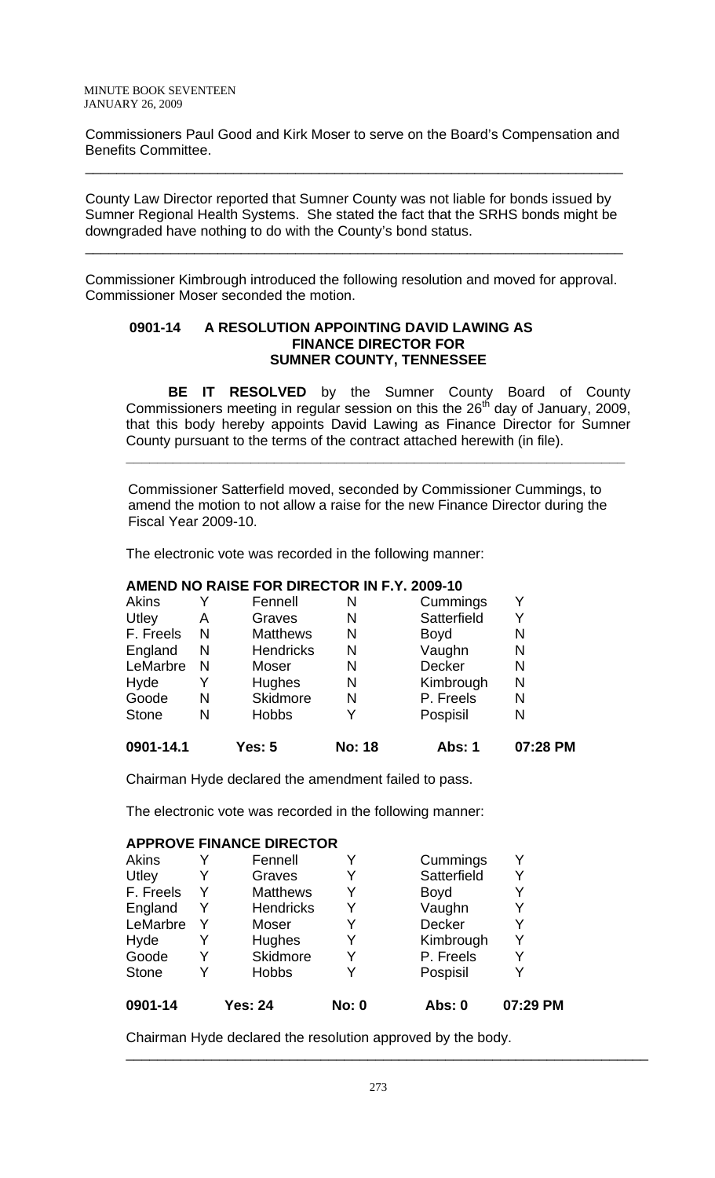Commissioners Paul Good and Kirk Moser to serve on the Board's Compensation and Benefits Committee.

 $\overline{\phantom{a}}$  , and the contribution of the contribution of the contribution of the contribution of the contribution of the contribution of the contribution of the contribution of the contribution of the contribution of the

 County Law Director reported that Sumner County was not liable for bonds issued by Sumner Regional Health Systems. She stated the fact that the SRHS bonds might be downgraded have nothing to do with the County's bond status.

 $\frac{1}{2}$  , the contribution of the contribution of the contribution of the contribution of the contribution of the contribution of the contribution of the contribution of the contribution of the contribution of the contr

 Commissioner Kimbrough introduced the following resolution and moved for approval. Commissioner Moser seconded the motion.

# **0901-14 A RESOLUTION APPOINTING DAVID LAWING AS FINANCE DIRECTOR FOR SUMNER COUNTY, TENNESSEE**

**BE IT RESOLVED** by the Sumner County Board of County Commissioners meeting in regular session on this the  $26<sup>th</sup>$  day of January, 2009, that this body hereby appoints David Lawing as Finance Director for Sumner County pursuant to the terms of the contract attached herewith (in file).

**\_\_\_\_\_\_\_\_\_\_\_\_\_\_\_\_\_\_\_\_\_\_\_\_\_\_\_\_\_\_\_\_\_\_\_\_\_\_\_\_\_\_\_\_\_\_\_\_\_\_\_\_\_\_\_\_\_\_\_\_\_\_\_\_**

Commissioner Satterfield moved, seconded by Commissioner Cummings, to amend the motion to not allow a raise for the new Finance Director during the Fiscal Year 2009-10.

The electronic vote was recorded in the following manner:

# **AMEND NO RAISE FOR DIRECTOR IN F.Y. 2009-10**

| 0901-14.1    |   | Yes: 5           | <b>No: 18</b> | Abs: 1        | 07:28 PM |
|--------------|---|------------------|---------------|---------------|----------|
| <b>Stone</b> | N | <b>Hobbs</b>     |               | Pospisil      | N        |
| Goode        | N | Skidmore         | N             | P. Freels     | N        |
| Hyde         |   | <b>Hughes</b>    | N             | Kimbrough     | N        |
| LeMarbre     | N | Moser            | N             | <b>Decker</b> | N        |
| England      | N | <b>Hendricks</b> | N             | Vaughn        | N        |
| F. Freels    | N | <b>Matthews</b>  | N             | <b>Boyd</b>   | N        |
| Utley        | A | Graves           | N             | Satterfield   | Y        |
| Akins        |   | Fennell          | N             | Cummings      | Y        |

Chairman Hyde declared the amendment failed to pass.

The electronic vote was recorded in the following manner:

# **APPROVE FINANCE DIRECTOR**

| <b>Hobbs</b>     | Y | Pospisil      |  |
|------------------|---|---------------|--|
| Skidmore         | Y | P. Freels     |  |
| Hughes           | Y | Kimbrough     |  |
| Moser            | Y | <b>Decker</b> |  |
| <b>Hendricks</b> | Y | Vaughn        |  |
| <b>Matthews</b>  | Y | <b>Boyd</b>   |  |
| Graves           | Y | Satterfield   |  |
| Fennell          |   | Cummings      |  |
|                  |   |               |  |

Chairman Hyde declared the resolution approved by the body.

\_\_\_\_\_\_\_\_\_\_\_\_\_\_\_\_\_\_\_\_\_\_\_\_\_\_\_\_\_\_\_\_\_\_\_\_\_\_\_\_\_\_\_\_\_\_\_\_\_\_\_\_\_\_\_\_\_\_\_\_\_\_\_\_\_\_\_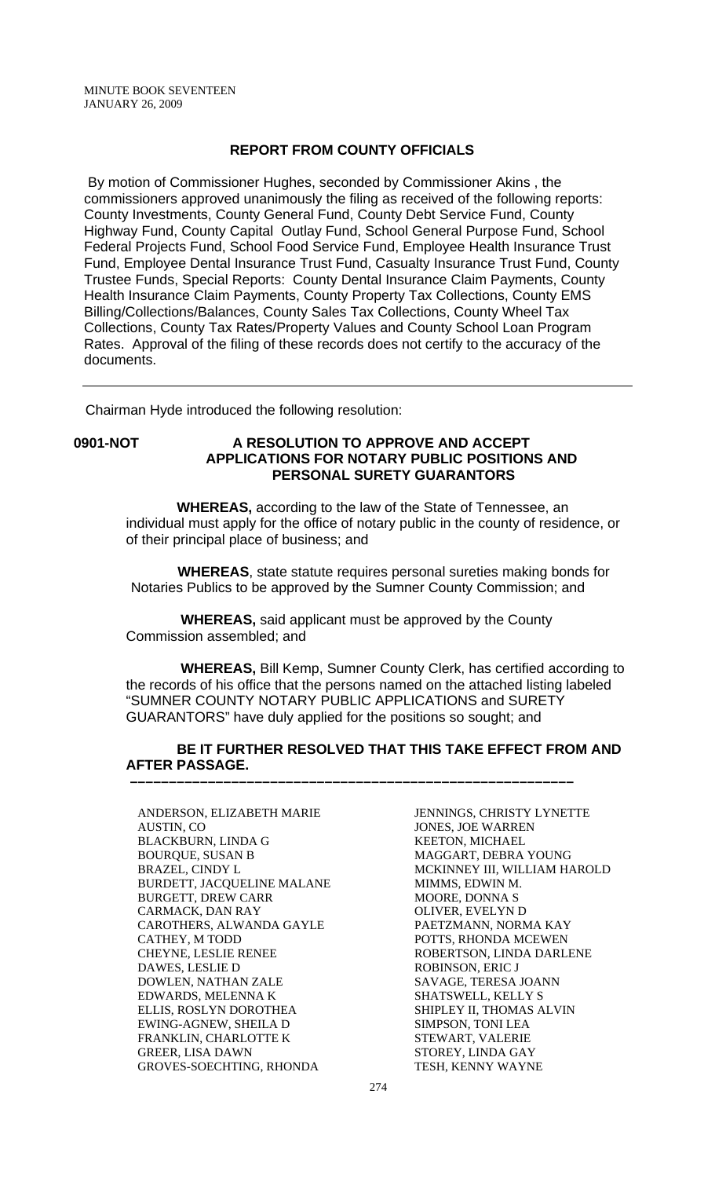### **REPORT FROM COUNTY OFFICIALS**

 By motion of Commissioner Hughes, seconded by Commissioner Akins , the commissioners approved unanimously the filing as received of the following reports: County Investments, County General Fund, County Debt Service Fund, County Highway Fund, County Capital Outlay Fund, School General Purpose Fund, School Federal Projects Fund, School Food Service Fund, Employee Health Insurance Trust Fund, Employee Dental Insurance Trust Fund, Casualty Insurance Trust Fund, County Trustee Funds, Special Reports: County Dental Insurance Claim Payments, County Health Insurance Claim Payments, County Property Tax Collections, County EMS Billing/Collections/Balances, County Sales Tax Collections, County Wheel Tax Collections, County Tax Rates/Property Values and County School Loan Program Rates. Approval of the filing of these records does not certify to the accuracy of the documents.

Chairman Hyde introduced the following resolution:

# **0901-NOT A RESOLUTION TO APPROVE AND ACCEPT APPLICATIONS FOR NOTARY PUBLIC POSITIONS AND PERSONAL SURETY GUARANTORS**

 **WHEREAS,** according to the law of the State of Tennessee, an individual must apply for the office of notary public in the county of residence, or of their principal place of business; and

 **WHEREAS**, state statute requires personal sureties making bonds for Notaries Publics to be approved by the Sumner County Commission; and

 **WHEREAS,** said applicant must be approved by the County Commission assembled; and

 **–––––––––––––––––––––––––––––––––––––––––––––––––––––––––**

 **WHEREAS,** Bill Kemp, Sumner County Clerk, has certified according to the records of his office that the persons named on the attached listing labeled "SUMNER COUNTY NOTARY PUBLIC APPLICATIONS and SURETY GUARANTORS" have duly applied for the positions so sought; and

# **BE IT FURTHER RESOLVED THAT THIS TAKE EFFECT FROM AND AFTER PASSAGE.**

ANDERSON, ELIZABETH MARIE AUSTIN, CO BLACKBURN, LINDA G BOURQUE, SUSAN B BRAZEL, CINDY L BURDETT, JACQUELINE MALANE BURGETT, DREW CARR CARMACK, DAN RAY CAROTHERS, ALWANDA GAYLE CATHEY, M TODD CHEYNE, LESLIE RENEE DAWES, LESLIE D DOWLEN, NATHAN ZALE EDWARDS, MELENNA K ELLIS, ROSLYN DOROTHEA EWING-AGNEW, SHEILA D FRANKLIN, CHARLOTTE K GREER, LISA DAWN GROVES-SOECHTING, RHONDA

JENNINGS, CHRISTY LYNETTE JONES, JOE WARREN KEETON, MICHAEL MAGGART, DEBRA YOUNG MCKINNEY III, WILLIAM HAROLD MIMMS, EDWIN M. MOORE, DONNA S OLIVER, EVELYN D PAETZMANN, NORMA KAY POTTS, RHONDA MCEWEN ROBERTSON, LINDA DARLENE ROBINSON, ERIC J SAVAGE, TERESA JOANN SHATSWELL, KELLY S SHIPLEY II, THOMAS ALVIN SIMPSON, TONI LEA STEWART, VALERIE STOREY, LINDA GAY TESH, KENNY WAYNE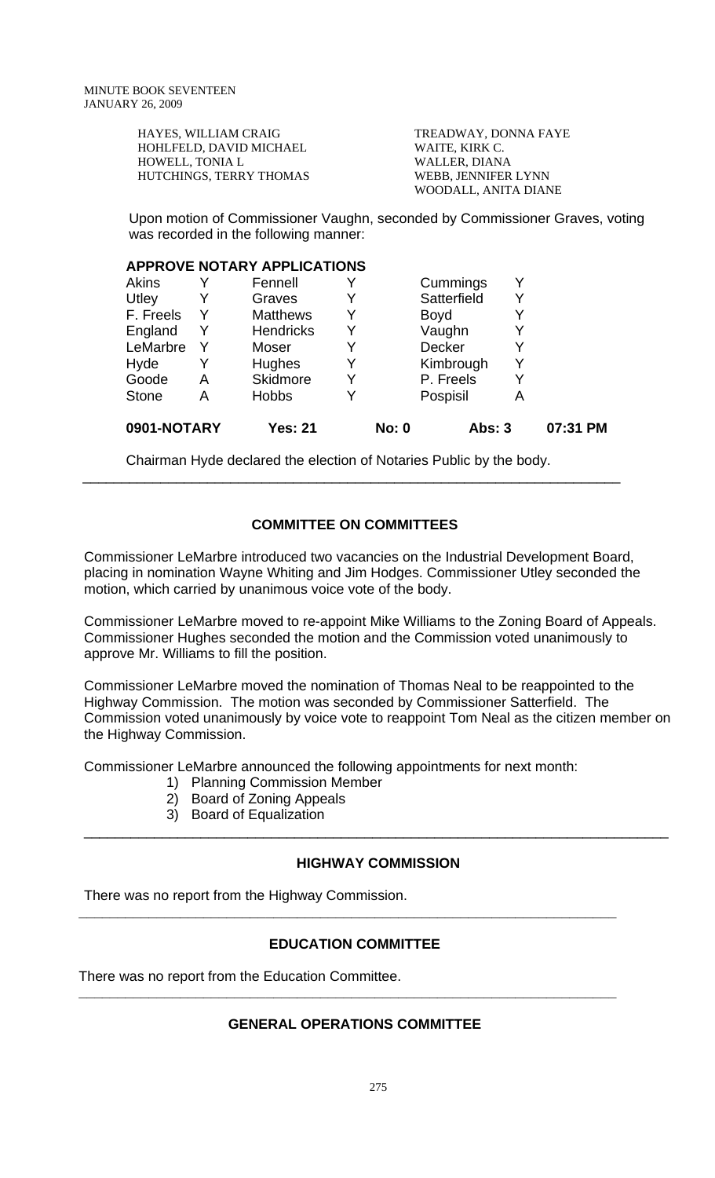| HAYES, WILLIAM CRAIG    | TREADWAY, DONNA FAYE |
|-------------------------|----------------------|
| HOHLFELD, DAVID MICHAEL | WAITE, KIRK C.       |
| HOWELL, TONIA L         | WALLER, DIANA        |
| HUTCHINGS, TERRY THOMAS | WEBB, JENNIFER LYNN  |
|                         | WOODALL, ANITA DIANE |

 Upon motion of Commissioner Vaughn, seconded by Commissioner Graves, voting was recorded in the following manner:

### **APPROVE NOTARY APPLICATIONS**

| 0901-NOTARY  |   | <b>Yes: 21</b>   |   | <b>No: 0</b> | <b>Abs: 3</b> |   | 07:31 PM |
|--------------|---|------------------|---|--------------|---------------|---|----------|
| <b>Stone</b> | А | <b>Hobbs</b>     | Y |              | Pospisil      | Α |          |
| Goode        | Α | Skidmore         | Y |              | P. Freels     | Y |          |
| Hyde         |   | Hughes           | Y |              | Kimbrough     | Y |          |
| LeMarbre     | Y | Moser            | Y |              | <b>Decker</b> | Y |          |
| England      | Y | <b>Hendricks</b> | Y |              | Vaughn        |   |          |
| F. Freels    | Y | <b>Matthews</b>  | Y |              | <b>Boyd</b>   |   |          |
| Utley        | Y | Graves           | Y |              | Satterfield   | Y |          |
| <b>Akins</b> |   | Fennell          |   |              | Cummings      |   |          |

Chairman Hyde declared the election of Notaries Public by the body.

# **COMMITTEE ON COMMITTEES**

\_\_\_\_\_\_\_\_\_\_\_\_\_\_\_\_\_\_\_\_\_\_\_\_\_\_\_\_\_\_\_\_\_\_\_\_\_\_\_\_\_\_\_\_\_\_\_\_\_\_\_\_\_\_\_\_\_\_\_\_\_\_\_\_\_\_\_\_\_

Commissioner LeMarbre introduced two vacancies on the Industrial Development Board, placing in nomination Wayne Whiting and Jim Hodges. Commissioner Utley seconded the motion, which carried by unanimous voice vote of the body.

Commissioner LeMarbre moved to re-appoint Mike Williams to the Zoning Board of Appeals. Commissioner Hughes seconded the motion and the Commission voted unanimously to approve Mr. Williams to fill the position.

Commissioner LeMarbre moved the nomination of Thomas Neal to be reappointed to the Highway Commission. The motion was seconded by Commissioner Satterfield. The Commission voted unanimously by voice vote to reappoint Tom Neal as the citizen member on the Highway Commission.

Commissioner LeMarbre announced the following appointments for next month:

- 1) Planning Commission Member
- 2) Board of Zoning Appeals
- 3) Board of Equalization

# **HIGHWAY COMMISSION**

\_\_\_\_\_\_\_\_\_\_\_\_\_\_\_\_\_\_\_\_\_\_\_\_\_\_\_\_\_\_\_\_\_\_\_\_\_\_\_\_\_\_\_\_\_\_\_\_\_\_\_\_\_\_\_\_\_\_\_\_\_\_\_\_\_\_\_\_\_\_\_\_\_\_\_

There was no report from the Highway Commission.

# **EDUCATION COMMITTEE**

**\_\_\_\_\_\_\_\_\_\_\_\_\_\_\_\_\_\_\_\_\_\_\_\_\_\_\_\_\_\_\_\_\_\_\_\_\_\_\_\_\_\_\_\_\_\_\_\_\_\_\_\_\_\_\_\_\_\_\_\_\_\_\_\_\_\_\_\_\_** 

There was no report from the Education Committee.

# **GENERAL OPERATIONS COMMITTEE**

**\_\_\_\_\_\_\_\_\_\_\_\_\_\_\_\_\_\_\_\_\_\_\_\_\_\_\_\_\_\_\_\_\_\_\_\_\_\_\_\_\_\_\_\_\_\_\_\_\_\_\_\_\_\_\_\_\_\_\_\_\_\_\_\_\_\_\_\_\_**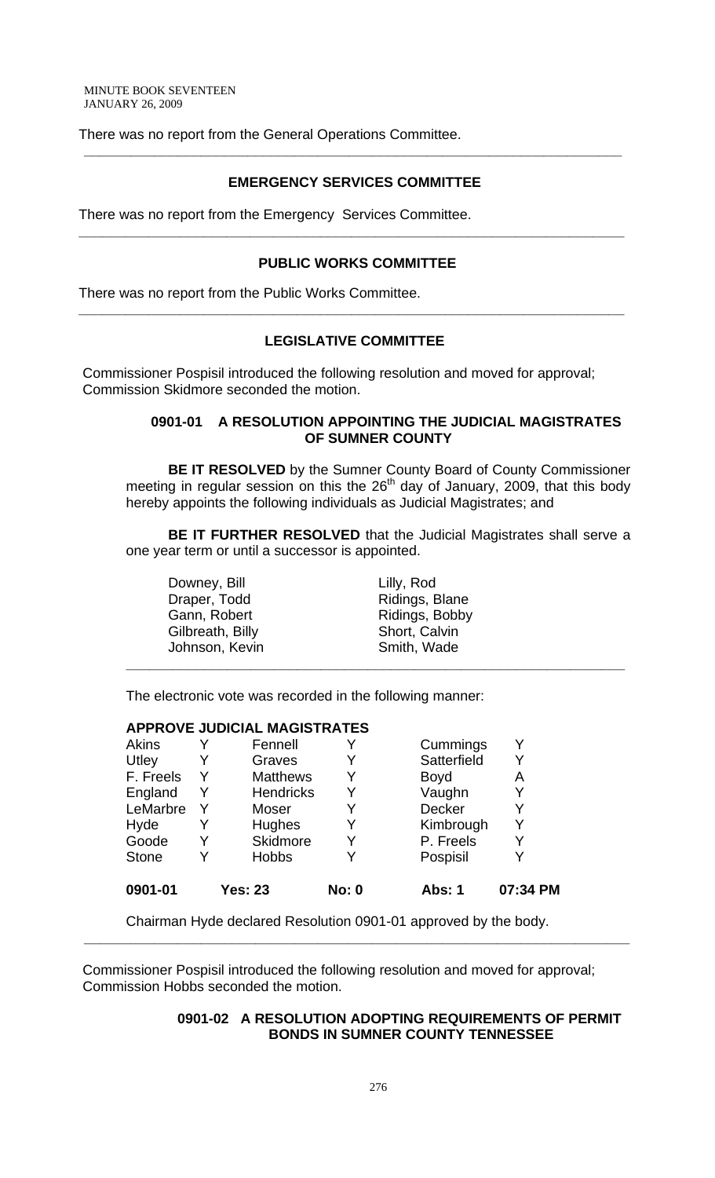There was no report from the General Operations Committee.

# **EMERGENCY SERVICES COMMITTEE**

**\_\_\_\_\_\_\_\_\_\_\_\_\_\_\_\_\_\_\_\_\_\_\_\_\_\_\_\_\_\_\_\_\_\_\_\_\_\_\_\_\_\_\_\_\_\_\_\_\_\_\_\_\_\_\_\_\_\_\_\_\_\_\_\_\_\_\_\_\_** 

There was no report from the Emergency Services Committee.

# **PUBLIC WORKS COMMITTEE**

**\_\_\_\_\_\_\_\_\_\_\_\_\_\_\_\_\_\_\_\_\_\_\_\_\_\_\_\_\_\_\_\_\_\_\_\_\_\_\_\_\_\_\_\_\_\_\_\_\_\_\_\_\_\_\_\_\_\_\_\_\_\_\_\_\_\_\_\_\_\_** 

There was no report from the Public Works Committee.

# **LEGISLATIVE COMMITTEE**

**\_\_\_\_\_\_\_\_\_\_\_\_\_\_\_\_\_\_\_\_\_\_\_\_\_\_\_\_\_\_\_\_\_\_\_\_\_\_\_\_\_\_\_\_\_\_\_\_\_\_\_\_\_\_\_\_\_\_\_\_\_\_\_\_\_\_\_\_\_\_** 

 Commissioner Pospisil introduced the following resolution and moved for approval; Commission Skidmore seconded the motion.

# **0901-01 A RESOLUTION APPOINTING THE JUDICIAL MAGISTRATES OF SUMNER COUNTY**

**BE IT RESOLVED** by the Sumner County Board of County Commissioner meeting in regular session on this the  $26<sup>th</sup>$  day of January, 2009, that this body hereby appoints the following individuals as Judicial Magistrates; and

**BE IT FURTHER RESOLVED** that the Judicial Magistrates shall serve a one year term or until a successor is appointed.

**\_\_\_\_\_\_\_\_\_\_\_\_\_\_\_\_\_\_\_\_\_\_\_\_\_\_\_\_\_\_\_\_\_\_\_\_\_\_\_\_\_\_\_\_\_\_\_\_\_\_\_\_\_\_\_\_\_\_\_\_\_\_\_\_**

Downey, Bill **Lilly**, Rod Draper, Todd Ridings, Blane Gilbreath, Billy Short, Calvin Johnson, Kevin Smith, Wade

Gann, Robert Ridings, Bobby

The electronic vote was recorded in the following manner:

#### **APPROVE JUDICIAL MAGISTRATES**

| 0901-01      |   | <b>Yes: 23</b>   | <b>No: 0</b> | Abs: 1        | 07:34 PM |
|--------------|---|------------------|--------------|---------------|----------|
| <b>Stone</b> |   | <b>Hobbs</b>     |              | Pospisil      | Y        |
| Goode        |   | Skidmore         |              | P. Freels     | Y        |
| Hyde         |   | <b>Hughes</b>    |              | Kimbrough     | Y        |
| LeMarbre     |   | Moser            |              | <b>Decker</b> | Y        |
| England      | Y | <b>Hendricks</b> | Y            | Vaughn        | Y        |
| F. Freels    |   | <b>Matthews</b>  | Y            | <b>Boyd</b>   | Α        |
| Utley        |   | Graves           |              | Satterfield   | Y        |
| Akins        |   | Fennell          |              | Cummings      | v        |

Chairman Hyde declared Resolution 0901-01 approved by the body.

 Commissioner Pospisil introduced the following resolution and moved for approval; Commission Hobbs seconded the motion.

**\_\_\_\_\_\_\_\_\_\_\_\_\_\_\_\_\_\_\_\_\_\_\_\_\_\_\_\_\_\_\_\_\_\_\_\_\_\_\_\_\_\_\_\_\_\_\_\_\_\_\_\_\_\_\_\_\_\_\_\_\_\_\_\_\_\_\_\_\_\_** 

# **0901-02 A RESOLUTION ADOPTING REQUIREMENTS OF PERMIT BONDS IN SUMNER COUNTY TENNESSEE**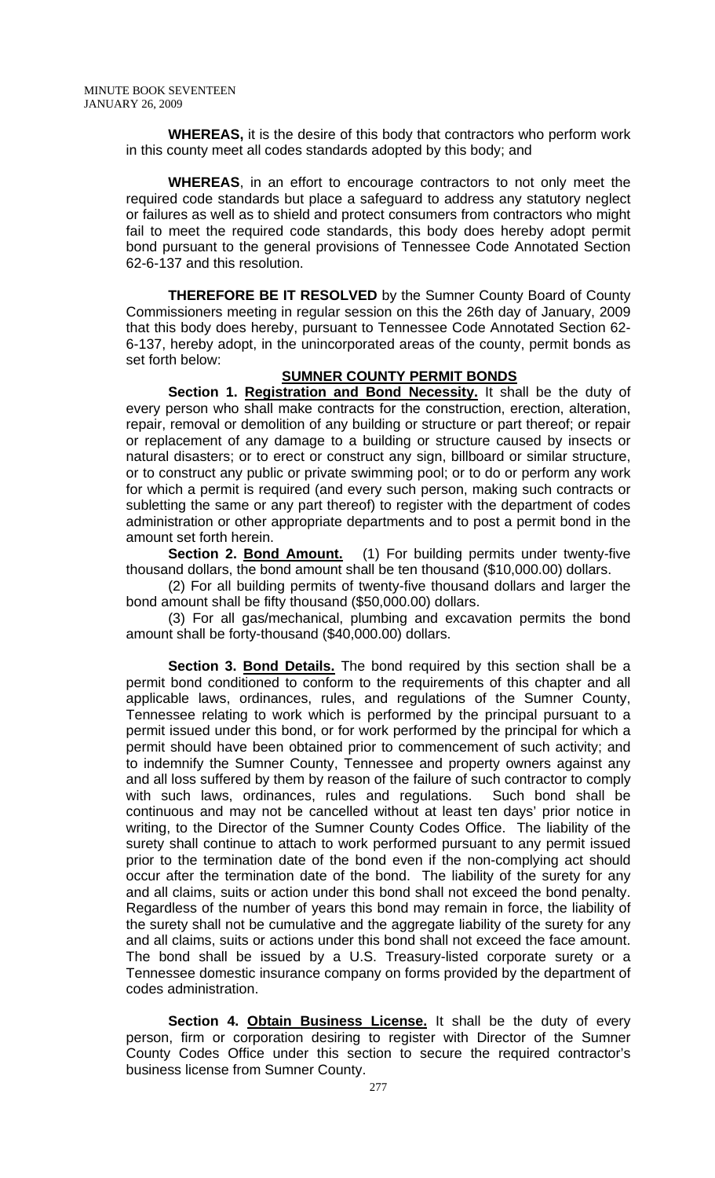**WHEREAS,** it is the desire of this body that contractors who perform work in this county meet all codes standards adopted by this body; and

**WHEREAS**, in an effort to encourage contractors to not only meet the required code standards but place a safeguard to address any statutory neglect or failures as well as to shield and protect consumers from contractors who might fail to meet the required code standards, this body does hereby adopt permit bond pursuant to the general provisions of Tennessee Code Annotated Section 62-6-137 and this resolution.

**THEREFORE BE IT RESOLVED** by the Sumner County Board of County Commissioners meeting in regular session on this the 26th day of January, 2009 that this body does hereby, pursuant to Tennessee Code Annotated Section 62- 6-137, hereby adopt, in the unincorporated areas of the county, permit bonds as set forth below:

# **SUMNER COUNTY PERMIT BONDS**

**Section 1. Registration and Bond Necessity.** It shall be the duty of every person who shall make contracts for the construction, erection, alteration, repair, removal or demolition of any building or structure or part thereof; or repair or replacement of any damage to a building or structure caused by insects or natural disasters; or to erect or construct any sign, billboard or similar structure, or to construct any public or private swimming pool; or to do or perform any work for which a permit is required (and every such person, making such contracts or subletting the same or any part thereof) to register with the department of codes administration or other appropriate departments and to post a permit bond in the amount set forth herein.

**Section 2. Bond Amount.** (1) For building permits under twenty-five thousand dollars, the bond amount shall be ten thousand (\$10,000.00) dollars.

 (2) For all building permits of twenty-five thousand dollars and larger the bond amount shall be fifty thousand (\$50,000.00) dollars.

 (3) For all gas/mechanical, plumbing and excavation permits the bond amount shall be forty-thousand (\$40,000.00) dollars.

Section 3. Bond Details. The bond required by this section shall be a permit bond conditioned to conform to the requirements of this chapter and all applicable laws, ordinances, rules, and regulations of the Sumner County, Tennessee relating to work which is performed by the principal pursuant to a permit issued under this bond, or for work performed by the principal for which a permit should have been obtained prior to commencement of such activity; and to indemnify the Sumner County, Tennessee and property owners against any and all loss suffered by them by reason of the failure of such contractor to comply with such laws, ordinances, rules and regulations. Such bond shall be continuous and may not be cancelled without at least ten days' prior notice in writing, to the Director of the Sumner County Codes Office. The liability of the surety shall continue to attach to work performed pursuant to any permit issued prior to the termination date of the bond even if the non-complying act should occur after the termination date of the bond. The liability of the surety for any and all claims, suits or action under this bond shall not exceed the bond penalty. Regardless of the number of years this bond may remain in force, the liability of the surety shall not be cumulative and the aggregate liability of the surety for any and all claims, suits or actions under this bond shall not exceed the face amount. The bond shall be issued by a U.S. Treasury-listed corporate surety or a Tennessee domestic insurance company on forms provided by the department of codes administration.

Section 4. Obtain Business License. It shall be the duty of every person, firm or corporation desiring to register with Director of the Sumner County Codes Office under this section to secure the required contractor's business license from Sumner County.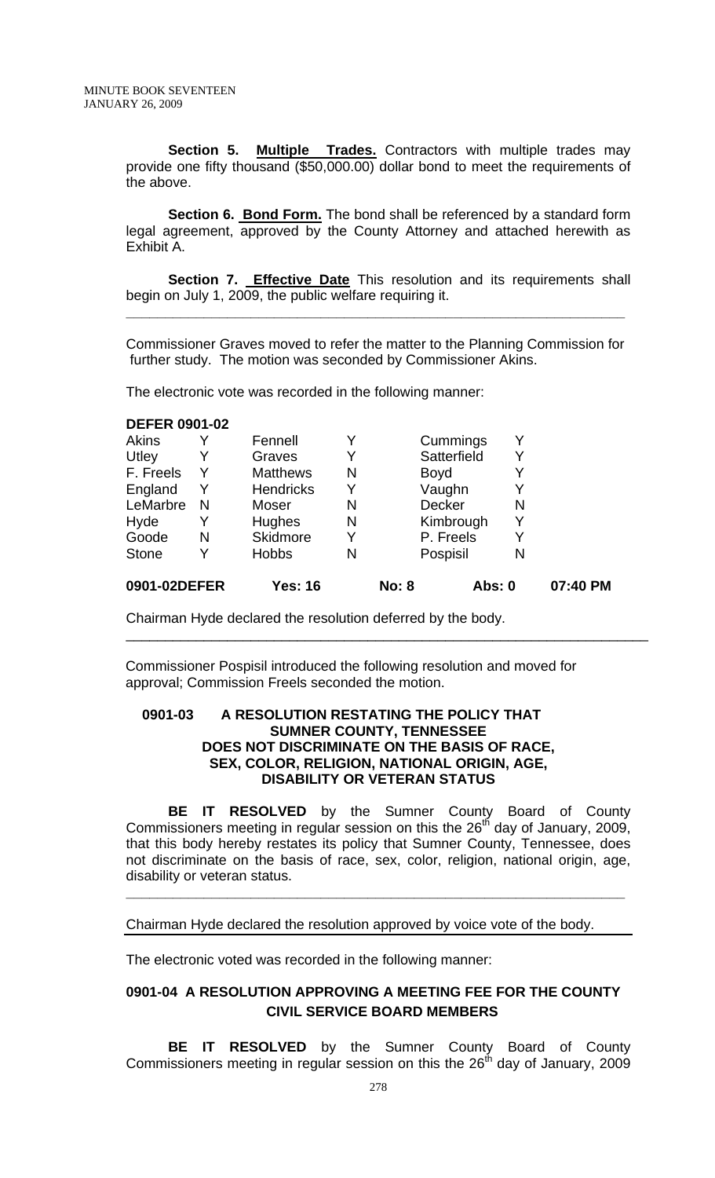Section 5. Multiple Trades. Contractors with multiple trades may provide one fifty thousand (\$50,000.00) dollar bond to meet the requirements of the above.

**Section 6. Bond Form.** The bond shall be referenced by a standard form legal agreement, approved by the County Attorney and attached herewith as Exhibit A.

**Section 7. Effective Date** This resolution and its requirements shall begin on July 1, 2009, the public welfare requiring it.

Commissioner Graves moved to refer the matter to the Planning Commission for further study. The motion was seconded by Commissioner Akins.

**\_\_\_\_\_\_\_\_\_\_\_\_\_\_\_\_\_\_\_\_\_\_\_\_\_\_\_\_\_\_\_\_\_\_\_\_\_\_\_\_\_\_\_\_\_\_\_\_\_\_\_\_\_\_\_\_\_\_\_\_\_\_\_\_**

The electronic vote was recorded in the following manner:

### **DEFER 0901-02**

| 0901-02DEFER |   | <b>Yes: 16</b>   |   | <b>No: 8</b> | Abs: 0        |   | 07:40 PM |
|--------------|---|------------------|---|--------------|---------------|---|----------|
| <b>Stone</b> |   | <b>Hobbs</b>     | N |              | Pospisil      | N |          |
| Goode        | N | Skidmore         | Y |              | P. Freels     | Y |          |
| Hyde         |   | Hughes           | N |              | Kimbrough     | Y |          |
| LeMarbre     | N | Moser            | N |              | <b>Decker</b> | N |          |
| England      | Y | <b>Hendricks</b> | Y |              | Vaughn        | Y |          |
| F. Freels    | Y | <b>Matthews</b>  | N | <b>Boyd</b>  |               | Y |          |
| Utley        |   | Graves           | Y |              | Satterfield   | Y |          |
| <b>Akins</b> |   | Fennell          | Y |              | Cummings      | Y |          |
|              |   |                  |   |              |               |   |          |

Chairman Hyde declared the resolution deferred by the body.

 Commissioner Pospisil introduced the following resolution and moved for approval; Commission Freels seconded the motion.

\_\_\_\_\_\_\_\_\_\_\_\_\_\_\_\_\_\_\_\_\_\_\_\_\_\_\_\_\_\_\_\_\_\_\_\_\_\_\_\_\_\_\_\_\_\_\_\_\_\_\_\_\_\_\_\_\_\_\_\_\_\_\_\_\_\_\_

# **0901-03 A RESOLUTION RESTATING THE POLICY THAT SUMNER COUNTY, TENNESSEE DOES NOT DISCRIMINATE ON THE BASIS OF RACE, SEX, COLOR, RELIGION, NATIONAL ORIGIN, AGE, DISABILITY OR VETERAN STATUS**

**BE IT RESOLVED** by the Sumner County Board of County Commissioners meeting in regular session on this the  $26<sup>th</sup>$  day of January, 2009, that this body hereby restates its policy that Sumner County, Tennessee, does not discriminate on the basis of race, sex, color, religion, national origin, age, disability or veteran status.

**\_\_\_\_\_\_\_\_\_\_\_\_\_\_\_\_\_\_\_\_\_\_\_\_\_\_\_\_\_\_\_\_\_\_\_\_\_\_\_\_\_\_\_\_\_\_\_\_\_\_\_\_\_\_\_\_\_\_\_\_\_\_\_\_**

Chairman Hyde declared the resolution approved by voice vote of the body.

The electronic voted was recorded in the following manner:

# **0901-04 A RESOLUTION APPROVING A MEETING FEE FOR THE COUNTY CIVIL SERVICE BOARD MEMBERS**

 **BE IT RESOLVED** by the Sumner County Board of County Commissioners meeting in regular session on this the  $26<sup>th</sup>$  day of January, 2009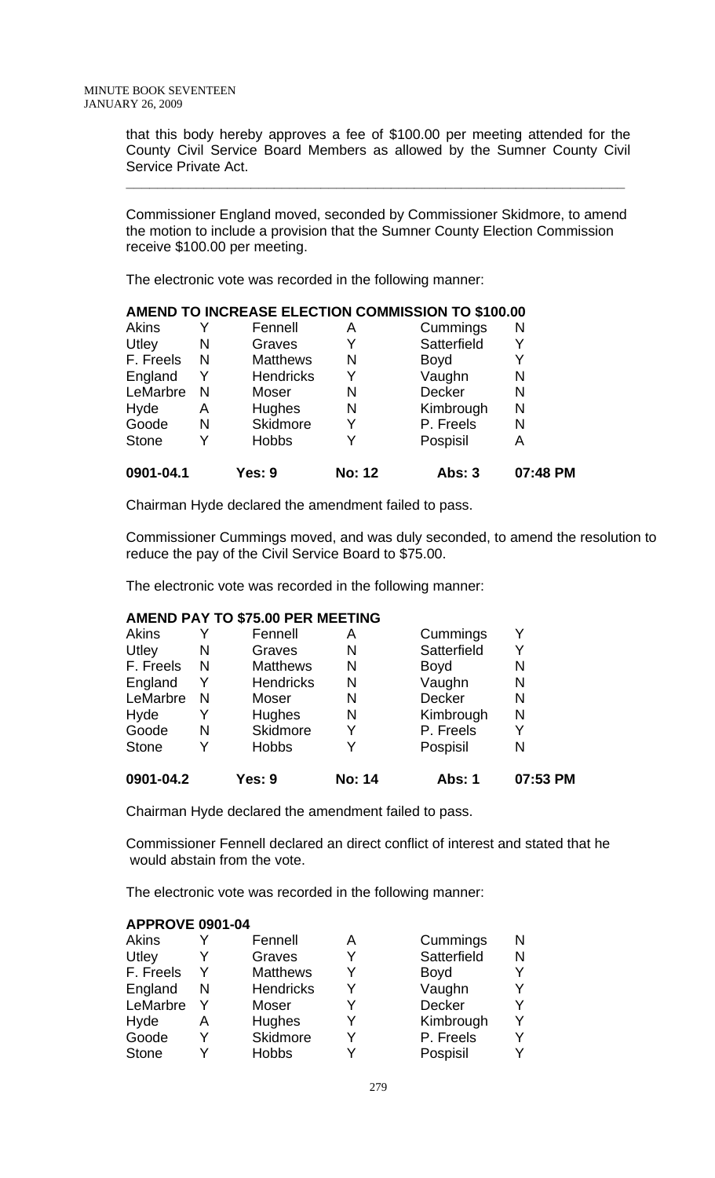that this body hereby approves a fee of \$100.00 per meeting attended for the County Civil Service Board Members as allowed by the Sumner County Civil Service Private Act.

Commissioner England moved, seconded by Commissioner Skidmore, to amend the motion to include a provision that the Sumner County Election Commission receive \$100.00 per meeting.

**\_\_\_\_\_\_\_\_\_\_\_\_\_\_\_\_\_\_\_\_\_\_\_\_\_\_\_\_\_\_\_\_\_\_\_\_\_\_\_\_\_\_\_\_\_\_\_\_\_\_\_\_\_\_\_\_\_\_\_\_\_\_\_\_**

The electronic vote was recorded in the following manner:

| 0901-04.1    |   | Yes: 9           | <b>No: 12</b> | <b>Abs: 3</b> | 07:48 PM |
|--------------|---|------------------|---------------|---------------|----------|
| <b>Stone</b> |   | <b>Hobbs</b>     | Y             | Pospisil      | Α        |
| Goode        | N | Skidmore         | Y             | P. Freels     | N        |
| Hyde         | A | <b>Hughes</b>    | N             | Kimbrough     | N        |
| LeMarbre     | N | Moser            | N             | <b>Decker</b> | N        |
| England      |   | <b>Hendricks</b> | Y             | Vaughn        | N        |
| F. Freels    | N | <b>Matthews</b>  | N             | <b>Boyd</b>   |          |
| Utley        | N | Graves           |               | Satterfield   |          |
| Akins        |   | Fennell          | Α             | Cummings      | N        |

Chairman Hyde declared the amendment failed to pass.

Commissioner Cummings moved, and was duly seconded, to amend the resolution to reduce the pay of the Civil Service Board to \$75.00.

The electronic vote was recorded in the following manner:

#### **AMEND PAY TO \$75.00 PER MEETING**

|   | Yes: 9           | <b>No: 14</b> | Abs: 1        | 07:53 PM |
|---|------------------|---------------|---------------|----------|
|   | <b>Hobbs</b>     |               | Pospisil      | Ν        |
| N | <b>Skidmore</b>  | Y             | P. Freels     | Y        |
|   | Hughes           | N             | Kimbrough     | N        |
| N | Moser            | N             | <b>Decker</b> | Ν        |
| Y | <b>Hendricks</b> | N             | Vaughn        | Ν        |
| N | <b>Matthews</b>  | N             | <b>Boyd</b>   | Ν        |
| N | Graves           | N             | Satterfield   | Y        |
|   | Fennell          | Α             | Cummings      | Y        |
|   |                  |               |               |          |

Chairman Hyde declared the amendment failed to pass.

Commissioner Fennell declared an direct conflict of interest and stated that he would abstain from the vote.

The electronic vote was recorded in the following manner:

# **APPROVE 0901-04**

|   | Fennell          | Α | Cummings      | N |
|---|------------------|---|---------------|---|
|   | Graves           | v | Satterfield   | N |
| Y | <b>Matthews</b>  | V | <b>Boyd</b>   |   |
| N | <b>Hendricks</b> | Y | Vaughn        |   |
|   | Moser            | v | <b>Decker</b> |   |
| A | <b>Hughes</b>    | v | Kimbrough     |   |
|   | Skidmore         | v | P. Freels     |   |
|   | <b>Hobbs</b>     |   | Pospisil      |   |
|   |                  |   |               |   |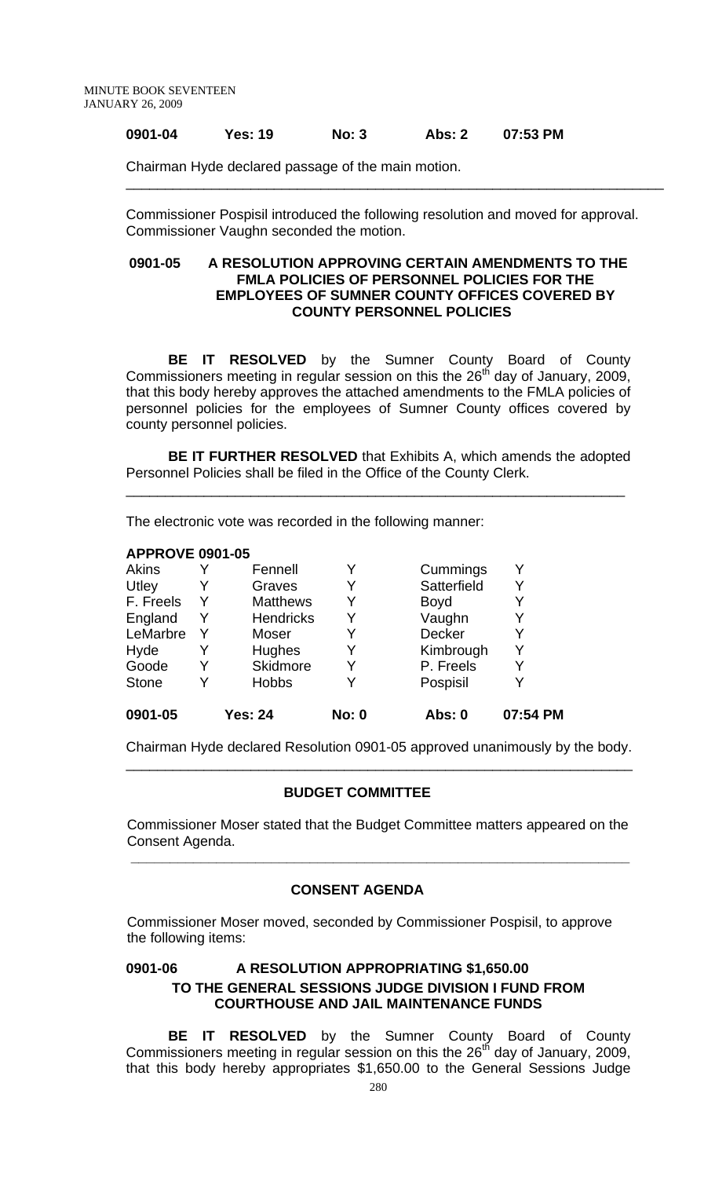# **0901-04 Yes: 19 No: 3 Abs: 2 07:53 PM**

Chairman Hyde declared passage of the main motion.

Commissioner Pospisil introduced the following resolution and moved for approval. Commissioner Vaughn seconded the motion.

\_\_\_\_\_\_\_\_\_\_\_\_\_\_\_\_\_\_\_\_\_\_\_\_\_\_\_\_\_\_\_\_\_\_\_\_\_\_\_\_\_\_\_\_\_\_\_\_\_\_\_\_\_\_\_\_\_\_\_\_\_\_\_\_\_\_\_\_\_

### **0901-05 A RESOLUTION APPROVING CERTAIN AMENDMENTS TO THE FMLA POLICIES OF PERSONNEL POLICIES FOR THE EMPLOYEES OF SUMNER COUNTY OFFICES COVERED BY COUNTY PERSONNEL POLICIES**

 **BE IT RESOLVED** by the Sumner County Board of County Commissioners meeting in regular session on this the  $26<sup>th</sup>$  day of January, 2009, that this body hereby approves the attached amendments to the FMLA policies of personnel policies for the employees of Sumner County offices covered by county personnel policies.

**BE IT FURTHER RESOLVED** that Exhibits A, which amends the adopted Personnel Policies shall be filed in the Office of the County Clerk.

\_\_\_\_\_\_\_\_\_\_\_\_\_\_\_\_\_\_\_\_\_\_\_\_\_\_\_\_\_\_\_\_\_\_\_\_\_\_\_\_\_\_\_\_\_\_\_\_\_\_\_\_\_\_\_\_\_\_\_\_\_\_\_\_

The electronic vote was recorded in the following manner:

#### **APPROVE 0901-05**

| 0901-05      |   | <b>Yes: 24</b>   | <b>No: 0</b> | Abs: 0        | 07:54 PM |
|--------------|---|------------------|--------------|---------------|----------|
| <b>Stone</b> |   | <b>Hobbs</b>     | Y            | Pospisil      |          |
| Goode        |   | Skidmore         | Y            | P. Freels     |          |
| Hyde         |   | Hughes           | Y            | Kimbrough     | Y        |
| LeMarbre     |   | Moser            | Y            | <b>Decker</b> |          |
| England      |   | <b>Hendricks</b> | Y            | Vaughn        |          |
| F. Freels    | Y | <b>Matthews</b>  | Y            | <b>Boyd</b>   |          |
| Utley        | Y | Graves           | Y            | Satterfield   |          |
| Akins        |   | Fennell          | Y            | Cummings      |          |

Chairman Hyde declared Resolution 0901-05 approved unanimously by the body. \_\_\_\_\_\_\_\_\_\_\_\_\_\_\_\_\_\_\_\_\_\_\_\_\_\_\_\_\_\_\_\_\_\_\_\_\_\_\_\_\_\_\_\_\_\_\_\_\_\_\_\_\_\_\_\_\_\_\_\_\_\_\_\_\_

#### **BUDGET COMMITTEE**

 Commissioner Moser stated that the Budget Committee matters appeared on the Consent Agenda.

# **CONSENT AGENDA**

 **\_\_\_\_\_\_\_\_\_\_\_\_\_\_\_\_\_\_\_\_\_\_\_\_\_\_\_\_\_\_\_\_\_\_\_\_\_\_\_\_\_\_\_\_\_\_\_\_\_\_\_\_\_\_\_\_\_\_\_\_\_\_\_\_** 

Commissioner Moser moved, seconded by Commissioner Pospisil, to approve the following items:

# **0901-06 A RESOLUTION APPROPRIATING \$1,650.00 TO THE GENERAL SESSIONS JUDGE DIVISION I FUND FROM COURTHOUSE AND JAIL MAINTENANCE FUNDS**

**BE IT RESOLVED** by the Sumner County Board of County Commissioners meeting in regular session on this the 26<sup>th</sup> day of January, 2009, that this body hereby appropriates \$1,650.00 to the General Sessions Judge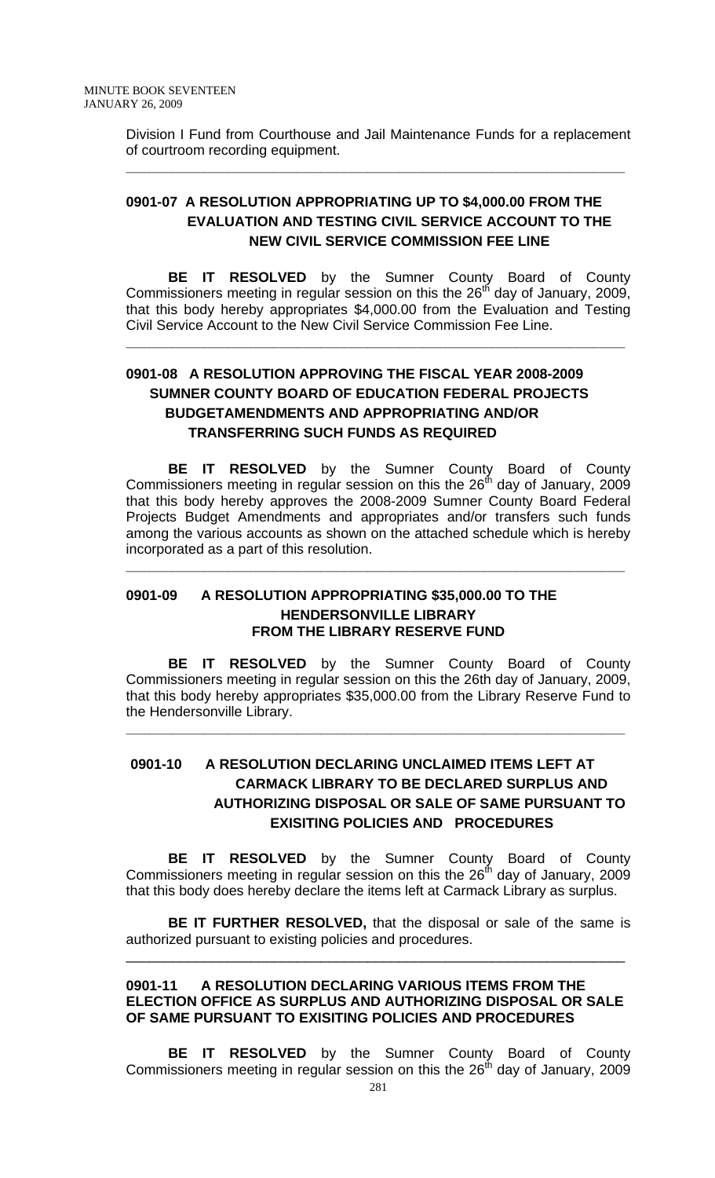Division I Fund from Courthouse and Jail Maintenance Funds for a replacement of courtroom recording equipment.

**\_\_\_\_\_\_\_\_\_\_\_\_\_\_\_\_\_\_\_\_\_\_\_\_\_\_\_\_\_\_\_\_\_\_\_\_\_\_\_\_\_\_\_\_\_\_\_\_\_\_\_\_\_\_\_\_\_\_\_\_\_\_\_\_**

# **0901-07 A RESOLUTION APPROPRIATING UP TO \$4,000.00 FROM THE EVALUATION AND TESTING CIVIL SERVICE ACCOUNT TO THE NEW CIVIL SERVICE COMMISSION FEE LINE**

 **BE IT RESOLVED** by the Sumner County Board of County Commissioners meeting in regular session on this the  $26<sup>th</sup>$  day of January, 2009, that this body hereby appropriates \$4,000.00 from the Evaluation and Testing Civil Service Account to the New Civil Service Commission Fee Line.

**\_\_\_\_\_\_\_\_\_\_\_\_\_\_\_\_\_\_\_\_\_\_\_\_\_\_\_\_\_\_\_\_\_\_\_\_\_\_\_\_\_\_\_\_\_\_\_\_\_\_\_\_\_\_\_\_\_\_\_\_\_\_\_\_**

# **0901-08 A RESOLUTION APPROVING THE FISCAL YEAR 2008-2009 SUMNER COUNTY BOARD OF EDUCATION FEDERAL PROJECTS BUDGETAMENDMENTS AND APPROPRIATING AND/OR TRANSFERRING SUCH FUNDS AS REQUIRED**

 **BE IT RESOLVED** by the Sumner County Board of County Commissioners meeting in regular session on this the  $26<sup>th</sup>$  day of January, 2009 that this body hereby approves the 2008-2009 Sumner County Board Federal Projects Budget Amendments and appropriates and/or transfers such funds among the various accounts as shown on the attached schedule which is hereby incorporated as a part of this resolution.

**\_\_\_\_\_\_\_\_\_\_\_\_\_\_\_\_\_\_\_\_\_\_\_\_\_\_\_\_\_\_\_\_\_\_\_\_\_\_\_\_\_\_\_\_\_\_\_\_\_\_\_\_\_\_\_\_\_\_\_\_\_\_\_\_**

# **0901-09 A RESOLUTION APPROPRIATING \$35,000.00 TO THE HENDERSONVILLE LIBRARY FROM THE LIBRARY RESERVE FUND**

**BE IT RESOLVED** by the Sumner County Board of County Commissioners meeting in regular session on this the 26th day of January, 2009, that this body hereby appropriates \$35,000.00 from the Library Reserve Fund to the Hendersonville Library.

**\_\_\_\_\_\_\_\_\_\_\_\_\_\_\_\_\_\_\_\_\_\_\_\_\_\_\_\_\_\_\_\_\_\_\_\_\_\_\_\_\_\_\_\_\_\_\_\_\_\_\_\_\_\_\_\_\_\_\_\_\_\_\_\_**

# **0901-10 A RESOLUTION DECLARING UNCLAIMED ITEMS LEFT AT CARMACK LIBRARY TO BE DECLARED SURPLUS AND AUTHORIZING DISPOSAL OR SALE OF SAME PURSUANT TO EXISITING POLICIES AND PROCEDURES**

**BE IT RESOLVED** by the Sumner County Board of County Commissioners meeting in regular session on this the  $26<sup>th</sup>$  day of January, 2009 that this body does hereby declare the items left at Carmack Library as surplus.

**BE IT FURTHER RESOLVED,** that the disposal or sale of the same is authorized pursuant to existing policies and procedures.

\_\_\_\_\_\_\_\_\_\_\_\_\_\_\_\_\_\_\_\_\_\_\_\_\_\_\_\_\_\_\_\_\_\_\_\_\_\_\_\_\_\_\_\_\_\_\_\_\_\_\_\_\_\_\_\_\_\_\_\_\_\_\_\_

# **0901-11 A RESOLUTION DECLARING VARIOUS ITEMS FROM THE ELECTION OFFICE AS SURPLUS AND AUTHORIZING DISPOSAL OR SALE OF SAME PURSUANT TO EXISITING POLICIES AND PROCEDURES**

**BE IT RESOLVED** by the Sumner County Board of County Commissioners meeting in regular session on this the  $26<sup>th</sup>$  day of January, 2009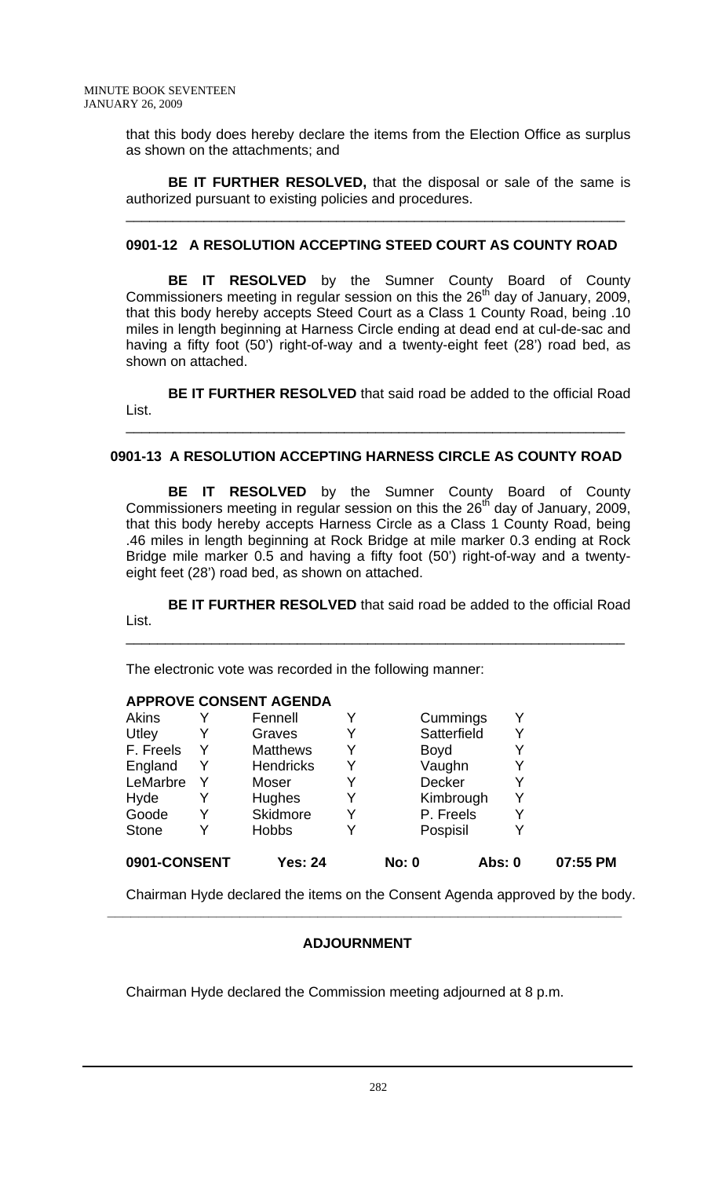that this body does hereby declare the items from the Election Office as surplus as shown on the attachments; and

**BE IT FURTHER RESOLVED,** that the disposal or sale of the same is authorized pursuant to existing policies and procedures.

\_\_\_\_\_\_\_\_\_\_\_\_\_\_\_\_\_\_\_\_\_\_\_\_\_\_\_\_\_\_\_\_\_\_\_\_\_\_\_\_\_\_\_\_\_\_\_\_\_\_\_\_\_\_\_\_\_\_\_\_\_\_\_\_

# **0901-12 A RESOLUTION ACCEPTING STEED COURT AS COUNTY ROAD**

**BE IT RESOLVED** by the Sumner County Board of County Commissioners meeting in regular session on this the  $26<sup>th</sup>$  day of January, 2009, that this body hereby accepts Steed Court as a Class 1 County Road, being .10 miles in length beginning at Harness Circle ending at dead end at cul-de-sac and having a fifty foot (50') right-of-way and a twenty-eight feet (28') road bed, as shown on attached.

**BE IT FURTHER RESOLVED** that said road be added to the official Road List. \_\_\_\_\_\_\_\_\_\_\_\_\_\_\_\_\_\_\_\_\_\_\_\_\_\_\_\_\_\_\_\_\_\_\_\_\_\_\_\_\_\_\_\_\_\_\_\_\_\_\_\_\_\_\_\_\_\_\_\_\_\_\_\_

# **0901-13 A RESOLUTION ACCEPTING HARNESS CIRCLE AS COUNTY ROAD**

**BE IT RESOLVED** by the Sumner County Board of County Commissioners meeting in regular session on this the 26<sup>th</sup> day of January, 2009, that this body hereby accepts Harness Circle as a Class 1 County Road, being .46 miles in length beginning at Rock Bridge at mile marker 0.3 ending at Rock Bridge mile marker 0.5 and having a fifty foot (50') right-of-way and a twentyeight feet (28') road bed, as shown on attached.

**BE IT FURTHER RESOLVED** that said road be added to the official Road List.

\_\_\_\_\_\_\_\_\_\_\_\_\_\_\_\_\_\_\_\_\_\_\_\_\_\_\_\_\_\_\_\_\_\_\_\_\_\_\_\_\_\_\_\_\_\_\_\_\_\_\_\_\_\_\_\_\_\_\_\_\_\_\_\_

The electronic vote was recorded in the following manner:

# **APPROVE CONSENT AGENDA**

| 0901-CONSENT |   | <b>Yes: 24</b>   |   | <b>No: 0</b>  | <b>Abs: 0</b> |   | 07:55 PM |
|--------------|---|------------------|---|---------------|---------------|---|----------|
| <b>Stone</b> | Y | <b>Hobbs</b>     | Y | Pospisil      |               | Y |          |
| Goode        | Y | Skidmore         | Y | P. Freels     |               |   |          |
| Hyde         |   | <b>Hughes</b>    | Y | Kimbrough     |               |   |          |
| LeMarbre     | Y | Moser            | Y | <b>Decker</b> |               | Y |          |
| England      | Y | <b>Hendricks</b> | Y | Vaughn        |               | Y |          |
| F. Freels    | Y | <b>Matthews</b>  | Y | Boyd          |               |   |          |
| Utley        |   | Graves           | Y | Satterfield   |               |   |          |
| <b>Akins</b> |   | Fennell          |   | Cummings      |               |   |          |

Chairman Hyde declared the items on the Consent Agenda approved by the body.

# **ADJOURNMENT**

 **\_\_\_\_\_\_\_\_\_\_\_\_\_\_\_\_\_\_\_\_\_\_\_\_\_\_\_\_\_\_\_\_\_\_\_\_\_\_\_\_\_\_\_\_\_\_\_\_\_\_\_\_\_\_\_\_\_\_\_\_\_\_\_\_\_\_** 

Chairman Hyde declared the Commission meeting adjourned at 8 p.m.